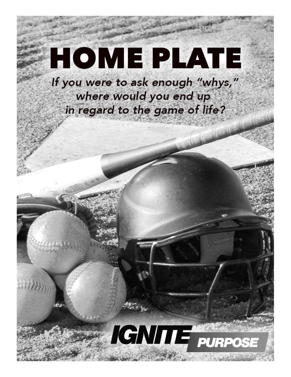# **HOMEPLATE**

If you were to ask enough "whys," where would you end up in regard to the game of life?



 $\mathbb{Z}_{1}$  ,  $\mathbb{Z}_{2}$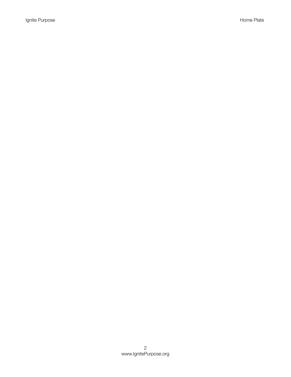Ignite Purpose **Home Plate**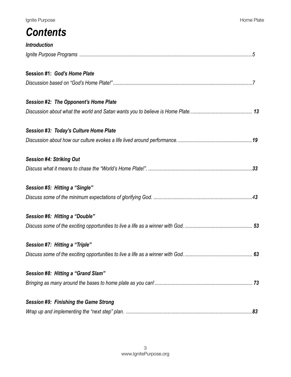# *Contents*

| <b>Introduction</b>                          |
|----------------------------------------------|
|                                              |
| Session #1: God's Home Plate                 |
|                                              |
| <b>Session #2: The Opponent's Home Plate</b> |
|                                              |
| Session #3: Today's Culture Home Plate       |
|                                              |
| <b>Session #4: Striking Out</b>              |
|                                              |
| Session #5: Hitting a "Single"               |
|                                              |
| Session #6: Hitting a "Double"               |
|                                              |
| Session #7: Hitting a "Triple"               |
|                                              |
| Session #8: Hitting a "Grand Slam"           |
|                                              |
| Session #9: Finishing the Game Strong        |
|                                              |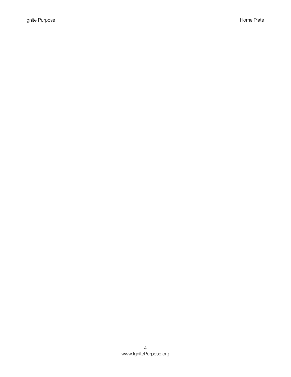Ignite Purpose **Home Plate**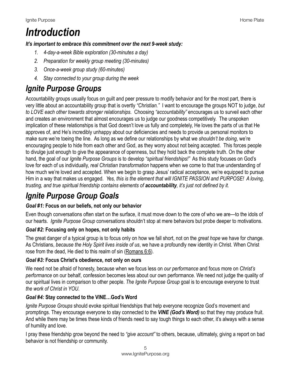# *Introduction*

#### *It's important to embrace this commitment over the next 9-week study:*

- *1. 4-day-a-week Bible exploration (30-minutes a day)*
- *2. Preparation for weekly group meeting (30-minutes)*
- *3. Once-a-week group study (60-minutes)*
- *4. Stay connected to your group during the week*

## *Ignite Purpose Groups*

Accountability groups usually focus on guilt and peer pressure to modify behavior and for the most part, there is very little about an accountability group that is overtly *"Christian."* I want to encourage the groups NOT to judge, *but to LOVE each other towards stronger relationships.* Choosing *"accountability"* encourages us to surveil each other and creates an environment that almost encourages us to judge our goodness competitively. The unspoken implication of these relationships is that God doesn't love us fully and completely, He loves the parts of us that He approves of, and He's incredibly unhappy about our deficiencies and needs to provide us personal monitors to make sure we're toeing the line. As long as we define our relationships by what we *shouldn't be doing*, we're encouraging people to hide from each other and God, as they worry about not being accepted. This forces people to divulge just enough to give the appearance of openness, but they hold back the complete truth. On the other hand, the goal of our *Ignite Purpose Groups* is to develop *"spiritual friendships!"* As this study focuses on God's love for each of us individually, *real Christian transformation* happens when we come to that true understanding of how much we're loved and accepted. When we begin to grasp Jesus' radical acceptance, we're equipped to pursue Him in a way that makes us engaged. *Yes, this is the element that will IGNITE PASSION and PURPOSE! A loving, trusting, and true spiritual friendship contains elements of accountability, it's just not defined by it.* 

## *Ignite Purpose Group Goals*

#### *Goal #1:* **Focus on our beliefs, not only our behavior**

Even though conversations often start on the surface, it must move down to the core of who we are—to the idols of our hearts. *Ignite Purpose Group* conversations shouldn't stop at mere behaviors but probe deeper to motivations.

#### *Goal #2:* **Focusing only on hopes, not only habits**

The great danger of a typical group is to focus only on how we fall short, not on the *great hope* we have for change. As Christians, *because the Holy Spirit lives inside of us*, we have a profoundly new identity in Christ. When Christ rose from the dead, He died to this realm of sin ([Romans 6:6\)](https://biblia.com/bible/esv/Rom%206.6?webSyncID=816c4383-4180-615a-2192-acb552dab808&sessionGUID=1ed554de-0a3b-192b-613d-9492eb651049).

#### *Goal #3:* **Focus Christ's obedience, not only on ours**

We need not be afraid of honesty, because when we focus less on *our performance* and focus more on *Christ's performance* on our behalf, confession becomes less about our own performance. We need not judge the quality of our spiritual lives in comparison to other people. *The Ignite Purpose Group* goal is to encourage everyone to trust *the work of Christ in YOU.* 

#### *Goal #4:* **Stay connected to the VINE…God's Word**

*Ignite Purpose Groups* should evoke spiritual friendships that help everyone recognize God's movement and promptings. They encourage everyone to stay connected to the *VINE (God's Word)* so that they may produce fruit. And while there may be times these kinds of friends need to say tough things to each other, it's always with a sense of humility and love.

I pray these friendship grow beyond the need to *"give account"* to others, because, ultimately, giving a report on bad behavior is not friendship or community.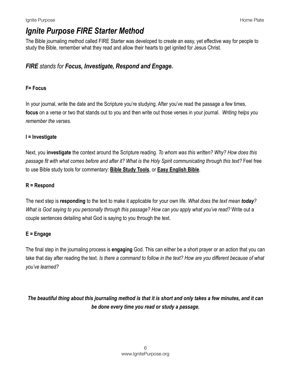## *Ignite Purpose FIRE Starter Method*

The Bible journaling method called FIRE Starter was developed to create an easy, yet effective way for people to study the Bible, remember what they read and allow their hearts to get ignited for Jesus Christ.

#### *FIRE stands for Focus, Investigate, Respond and Engage.*

#### **F= Focus**

In your journal, write the date and the Scripture you're studying. After you've read the passage a few times, **focus** on a verse or two that stands out to you and then write out those verses in your journal. *Writing helps you remember the verses.* 

#### **I = Investigate**

Next, you **investigate** the context around the Scripture reading. *To whom was this written? Why? How does this passage fit with what comes before and after it? What is the Holy Spirit communicating through this text?* Feel free to use Bible study tools for commentary: **[Bible Study Tools](https://www.biblestudytools.com/)**, or **[Easy English Bible](https://www.easyenglish.bible/)**.

#### **R = Respond**

The next step is **responding** to the text to make it applicable for your own life. *What does the text mean today? What is God saying to you personally through this passage? How can you apply what you've read?* Write out a couple sentences detailing what God is saying to you through the text.

#### **E = Engage**

The final step in the journaling process is **engaging** God. This can either be a short prayer or an action that you can take that day after reading the text. *Is there a command to follow in the text? How are you different because of what you've learned?* 

*The beautiful thing about this journaling method is that it is short and only takes a few minutes, and it can be done every time you read or study a passage.*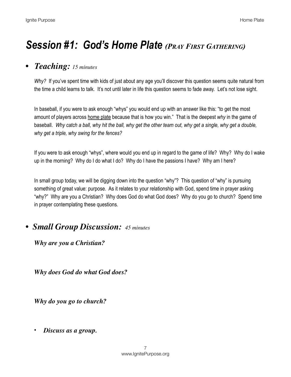## *Session #1: God's Home Plate (PRAY FIRST GATHERING)*

### *• Teaching: 15 minutes*

*Why?* If you've spent time with kids of just about any age you'll discover this question seems quite natural from the time a child learns to talk. It's not until later in life this question seems to fade away. Let's not lose sight.

In baseball, if you were to ask enough "whys" you would end up with an answer like this: "to get the most amount of players across home plate because that is how you win." That is the deepest *why* in the game of baseball. *Why catch a ball, why hit the ball, why get the other team out, why get a single, why get a double, why get a triple, why swing for the fences?*

If you were to ask enough "whys", where would you end up in regard to the game of life? Why? Why do I wake up in the morning? Why do I do what I do? Why do I have the passions I have? Why am I here?

In small group today, we will be digging down into the question "why"? This question of "why" is pursuing something of great value: purpose. As it relates to your relationship with God, spend time in prayer asking "why?" Why are you a Christian? Why does God do what God does? Why do you go to church? Spend time in prayer contemplating these questions.

## *• Small Group Discussion: 45 minutes*

*Why are you a Christian?* 

*Why does God do what God does?* 

*Why do you go to church?* 

• *Discuss as a group.*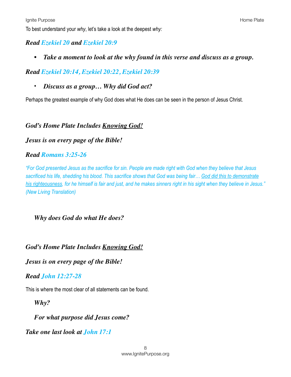To best understand your *why*, let's take a look at the deepest *why:*

#### *Read Ezekiel 20 and Ezekiel 20:9*

*• Take a moment to look at the why found in this verse and discuss as a group.*

#### *Read Ezekiel 20:14, Ezekiel 20:22, Ezekiel 20:39*

• *Discuss as a group… Why did God act?*

Perhaps the greatest example of why God does what He does can be seen in the person of Jesus Christ.

#### *God's Home Plate Includes Knowing God!*

#### *Jesus is on every page of the Bible!*

#### *Read Romans 3:25-26*

*"For God presented Jesus as the sacrifice for sin. People are made right with God when they believe that Jesus sacrificed his life, shedding his blood. This sacrifice shows that God was being fair… God did this to demonstrate his righteousness, for he himself is fair and just, and he makes sinners right in his sight when they believe in Jesus." (New Living Translation)* 

#### *Why does God do what He does?*

#### *God's Home Plate Includes Knowing God!*

*Jesus is on every page of the Bible!*

#### *Read John 12:27-28*

This is where the most clear of all statements can be found.

#### *Why?*

#### *For what purpose did Jesus come?*

#### *Take one last look at John 17:1*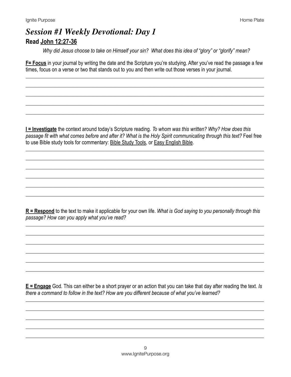## **Session #1 Weekly Devotional: Day 1** Read John 12:27-36

Why did Jesus choose to take on Himself your sin? What does this idea of "glory" or "glorify" mean?

F= Focus in your journal by writing the date and the Scripture you're studying. After you've read the passage a few times, focus on a verse or two that stands out to you and then write out those verses in your journal.

I = Investigate the context around today's Scripture reading. To whom was this written? Why? How does this passage fit with what comes before and after it? What is the Holy Spirit communicating through this text? Feel free to use Bible study tools for commentary: Bible Study Tools, or Easy English Bible.

 $R$  = Respond to the text to make it applicable for your own life. What is God saying to you personally through this passage? How can you apply what you've read?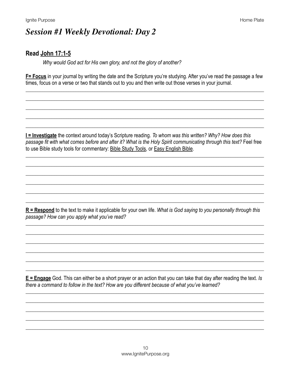## **Session #1 Weekly Devotional: Day 2**

#### **Read John 17:1-5**

Why would God act for His own glory, and not the glory of another?

F= Focus in your journal by writing the date and the Scripture you're studying. After you've read the passage a few times, focus on a verse or two that stands out to you and then write out those verses in your journal.

I = Investigate the context around today's Scripture reading. To whom was this written? Why? How does this passage fit with what comes before and after it? What is the Holy Spirit communicating through this text? Feel free to use Bible study tools for commentary: Bible Study Tools, or Easy English Bible.

 $R$  = Respond to the text to make it applicable for your own life. What is God saying to you personally through this passage? How can you apply what you've read?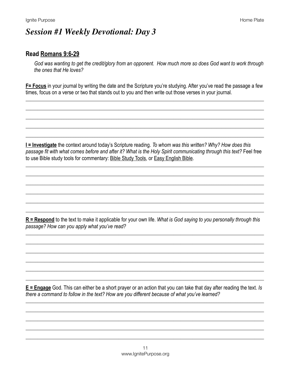## **Session #1 Weekly Devotional: Day 3**

#### Read Romans 9:6-29

God was wanting to get the credit/glory from an opponent. How much more so does God want to work through the ones that He loves?

**F= Focus** in your journal by writing the date and the Scripture you're studying. After you've read the passage a few times, focus on a verse or two that stands out to you and then write out those verses in your journal.

**I = Investigate** the context around today's Scripture reading. To whom was this written? Why? How does this passage fit with what comes before and after it? What is the Holy Spirit communicating through this text? Feel free to use Bible study tools for commentary: Bible Study Tools, or Easy English Bible.

 $R =$ Respond to the text to make it applicable for your own life. What is God saying to you personally through this passage? How can you apply what you've read?